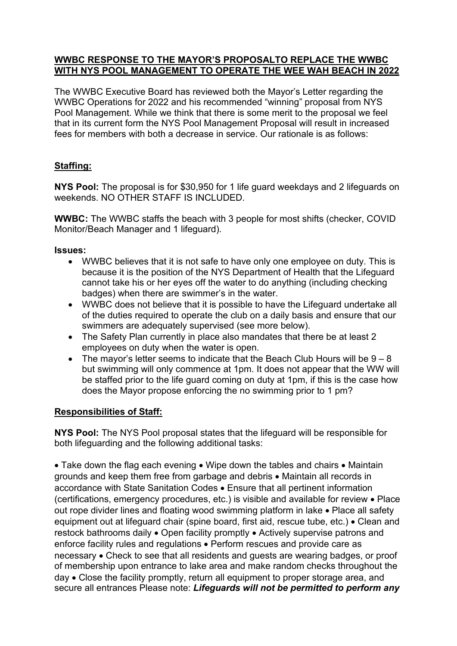#### **WWBC RESPONSE TO THE MAYOR'S PROPOSALTO REPLACE THE WWBC WITH NYS POOL MANAGEMENT TO OPERATE THE WEE WAH BEACH IN 2022**

The WWBC Executive Board has reviewed both the Mayor's Letter regarding the WWBC Operations for 2022 and his recommended "winning" proposal from NYS Pool Management. While we think that there is some merit to the proposal we feel that in its current form the NYS Pool Management Proposal will result in increased fees for members with both a decrease in service. Our rationale is as follows:

# **Staffing:**

**NYS Pool:** The proposal is for \$30,950 for 1 life guard weekdays and 2 lifeguards on weekends. NO OTHER STAFF IS INCLUDED.

**WWBC:** The WWBC staffs the beach with 3 people for most shifts (checker, COVID Monitor/Beach Manager and 1 lifeguard).

### **Issues:**

- WWBC believes that it is not safe to have only one employee on duty. This is because it is the position of the NYS Department of Health that the Lifeguard cannot take his or her eyes off the water to do anything (including checking badges) when there are swimmer's in the water.
- WWBC does not believe that it is possible to have the Lifeguard undertake all of the duties required to operate the club on a daily basis and ensure that our swimmers are adequately supervised (see more below).
- The Safety Plan currently in place also mandates that there be at least 2 employees on duty when the water is open.
- The mayor's letter seems to indicate that the Beach Club Hours will be  $9-8$ but swimming will only commence at 1pm. It does not appear that the WW will be staffed prior to the life guard coming on duty at 1pm, if this is the case how does the Mayor propose enforcing the no swimming prior to 1 pm?

## **Responsibilities of Staff:**

**NYS Pool:** The NYS Pool proposal states that the lifeguard will be responsible for both lifeguarding and the following additional tasks:

• Take down the flag each evening • Wipe down the tables and chairs • Maintain grounds and keep them free from garbage and debris • Maintain all records in accordance with State Sanitation Codes • Ensure that all pertinent information (certifications, emergency procedures, etc.) is visible and available for review • Place out rope divider lines and floating wood swimming platform in lake • Place all safety equipment out at lifeguard chair (spine board, first aid, rescue tube, etc.) • Clean and restock bathrooms daily • Open facility promptly • Actively supervise patrons and enforce facility rules and regulations • Perform rescues and provide care as necessary • Check to see that all residents and guests are wearing badges, or proof of membership upon entrance to lake area and make random checks throughout the day • Close the facility promptly, return all equipment to proper storage area, and secure all entrances Please note: *Lifeguards will not be permitted to perform any*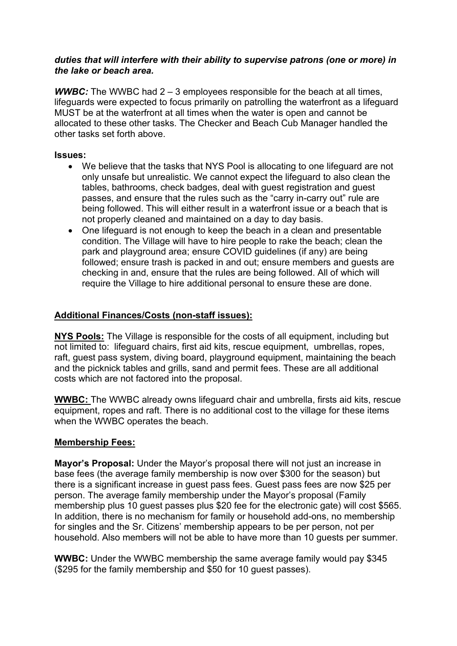#### *duties that will interfere with their ability to supervise patrons (one or more) in the lake or beach area.*

**WWBC:** The WWBC had 2 – 3 employees responsible for the beach at all times, lifeguards were expected to focus primarily on patrolling the waterfront as a lifeguard MUST be at the waterfront at all times when the water is open and cannot be allocated to these other tasks. The Checker and Beach Cub Manager handled the other tasks set forth above.

#### **Issues:**

- We believe that the tasks that NYS Pool is allocating to one lifeguard are not only unsafe but unrealistic. We cannot expect the lifeguard to also clean the tables, bathrooms, check badges, deal with guest registration and guest passes, and ensure that the rules such as the "carry in-carry out" rule are being followed. This will either result in a waterfront issue or a beach that is not properly cleaned and maintained on a day to day basis.
- One lifeguard is not enough to keep the beach in a clean and presentable condition. The Village will have to hire people to rake the beach; clean the park and playground area; ensure COVID guidelines (if any) are being followed; ensure trash is packed in and out; ensure members and guests are checking in and, ensure that the rules are being followed. All of which will require the Village to hire additional personal to ensure these are done.

## **Additional Finances/Costs (non-staff issues):**

**NYS Pools:** The Village is responsible for the costs of all equipment, including but not limited to: lifeguard chairs, first aid kits, rescue equipment, umbrellas, ropes, raft, guest pass system, diving board, playground equipment, maintaining the beach and the picknick tables and grills, sand and permit fees. These are all additional costs which are not factored into the proposal.

**WWBC:** The WWBC already owns lifeguard chair and umbrella, firsts aid kits, rescue equipment, ropes and raft. There is no additional cost to the village for these items when the WWBC operates the beach.

## **Membership Fees:**

**Mayor's Proposal:** Under the Mayor's proposal there will not just an increase in base fees (the average family membership is now over \$300 for the season) but there is a significant increase in guest pass fees. Guest pass fees are now \$25 per person. The average family membership under the Mayor's proposal (Family membership plus 10 guest passes plus \$20 fee for the electronic gate) will cost \$565. In addition, there is no mechanism for family or household add-ons, no membership for singles and the Sr. Citizens' membership appears to be per person, not per household. Also members will not be able to have more than 10 guests per summer.

**WWBC:** Under the WWBC membership the same average family would pay \$345 (\$295 for the family membership and \$50 for 10 guest passes).